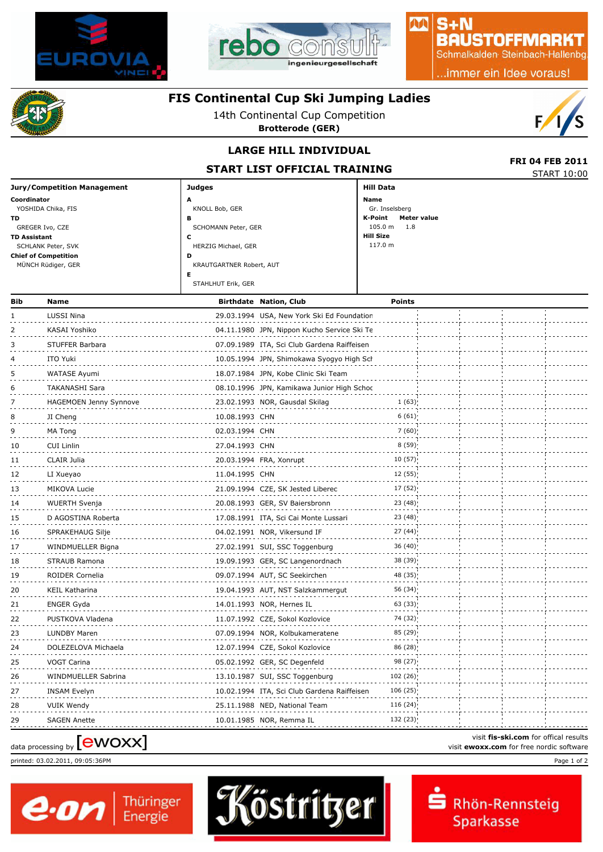



# $S + N$ **BAUSTOFFMARKT**

MA

Schmalkalden Steinbach-Hallenbg

..immer ein Idee voraus!



# **FIS Continental Cup Ski Jumping Ladies**

14th Continental Cup Competition

**Brotterode (GER)**



### **LARGE HILL INDIVIDUAL**

**START LIST OFFICIAL TRAINING** 

| <b>FRI 04 FEB 2011</b> |
|------------------------|
| STAPT10:00             |

|                                    | STANT LIST OFFICIAL INAINING |                        | <b>START 10:00</b> |
|------------------------------------|------------------------------|------------------------|--------------------|
| <b>Jury/Competition Management</b> | Judges                       | Hill Data              |                    |
| Coordinator                        | А                            | Name                   |                    |
| YOSHIDA Chika, FIS                 | KNOLL Bob, GER               | Gr. Inselsberg         |                    |
| TD.                                | в                            | Meter value<br>K-Point |                    |
| GREGER Ivo, CZE                    | SCHOMANN Peter, GER          | $105.0 m$ 1.8          |                    |
| <b>TD Assistant</b>                |                              | Hill Size              |                    |
| SCHLANK Peter, SVK                 | HERZIG Michael, GER          | 117.0 m                |                    |
| <b>Chief of Competition</b>        | D                            |                        |                    |
| MÜNCH Rüdiger, GER                 | KRAUTGARTNER Robert, AUT     |                        |                    |
|                                    |                              |                        |                    |
|                                    | STAHLHUT Erik, GER           |                        |                    |
|                                    |                              |                        |                    |

| Bib                                                                                                                     | Name                          |                | <b>Birthdate Nation, Club</b>               | <b>Points</b> |  |  |
|-------------------------------------------------------------------------------------------------------------------------|-------------------------------|----------------|---------------------------------------------|---------------|--|--|
|                                                                                                                         | LUSSI Nina                    |                | 29.03.1994 USA, New York Ski Ed Foundation  |               |  |  |
| 2                                                                                                                       | KASAI Yoshiko                 |                | 04.11.1980 JPN, Nippon Kucho Service Ski Te |               |  |  |
| З                                                                                                                       | STUFFER Barbara               |                | 07.09.1989 ITA, Sci Club Gardena Raiffeisen |               |  |  |
|                                                                                                                         | ITO Yuki                      |                | 10.05.1994 JPN, Shimokawa Syogyo High Sch   |               |  |  |
| 5                                                                                                                       | WATASE Ayumi                  |                | 18.07.1984 JPN, Kobe Clinic Ski Team        |               |  |  |
| 6                                                                                                                       | <b>TAKANASHI Sara</b>         |                | 08.10.1996 JPN, Kamikawa Junior High Schoc  |               |  |  |
|                                                                                                                         | <b>HAGEMOEN Jenny Synnove</b> |                | 23.02.1993 NOR, Gausdal Skilag              | 1(63)         |  |  |
| 8                                                                                                                       | JI Cheng                      | 10.08.1993 CHN |                                             | 6(61)         |  |  |
| 9                                                                                                                       | MA Tong                       | 02.03.1994 CHN |                                             | 7(60)         |  |  |
| 10                                                                                                                      | <b>CUI Linlin</b>             | 27.04.1993 CHN |                                             | 8(59)         |  |  |
| 11                                                                                                                      | CLAIR Julia                   |                | 20.03.1994 FRA, Xonrupt                     | 10(57)        |  |  |
| 12                                                                                                                      | LI Xueyao                     | 11.04.1995 CHN |                                             | 12(55)        |  |  |
| 13                                                                                                                      | MIKOVA Lucie                  |                | 21.09.1994 CZE, SK Jested Liberec           | 17(52)        |  |  |
| 14                                                                                                                      | WUERTH Svenja                 |                | 20.08.1993 GER, SV Baiersbronn              | 23(48)        |  |  |
| 15                                                                                                                      | D AGOSTINA Roberta            |                | 17.08.1991 ITA, Sci Cai Monte Lussari       | 23(48)        |  |  |
| 16                                                                                                                      | SPRAKEHAUG Silje              |                | 04.02.1991 NOR, Vikersund IF                | 27(44)        |  |  |
| 17                                                                                                                      | WINDMUELLER Bigna             |                | 27.02.1991 SUI, SSC Toggenburg              | 36 (40)       |  |  |
| 18                                                                                                                      | STRAUB Ramona                 |                | 19.09.1993 GER, SC Langenordnach            | 38 (39)       |  |  |
| 19                                                                                                                      | ROIDER Cornelia               |                | 09.07.1994 AUT, SC Seekirchen               | 48 (35)       |  |  |
| 20                                                                                                                      | KEIL Katharina                |                | 19.04.1993 AUT, NST Salzkammergut           | 56 (34)       |  |  |
| 21                                                                                                                      | ENGER Gyda                    |                | 14.01.1993 NOR, Hernes IL                   | 63 (33)       |  |  |
| 22                                                                                                                      | PUSTKOVA Vladena              |                | 11.07.1992 CZE, Sokol Kozlovice             | 74 (32)       |  |  |
| 23                                                                                                                      | LUNDBY Maren                  |                | 07.09.1994 NOR, Kolbukameratene             | 85 (29)       |  |  |
| 24                                                                                                                      | DOLEZELOVA Michaela           |                | 12.07.1994 CZE, Sokol Kozlovice             | 86 (28)       |  |  |
| 25                                                                                                                      | VOGT Carina                   |                | 05.02.1992 GER, SC Degenfeld                | 98 (27)       |  |  |
| 26                                                                                                                      | WINDMUELLER Sabrina           |                | 13.10.1987 SUI, SSC Toggenburg              | 102 (26)      |  |  |
| 27                                                                                                                      | <b>INSAM Evelyn</b>           |                | 10.02.1994 ITA, Sci Club Gardena Raiffeisen | 106(25)       |  |  |
| 28                                                                                                                      | VUIK Wendy                    |                | 25.11.1988 NED, National Team               | 116(24)       |  |  |
| 29                                                                                                                      | <b>SAGEN Anette</b>           |                | 10.01.1985 NOR, Remma IL                    | 132 (23)      |  |  |
| visit fis-ski.com for offical results<br>data processing by <b>[CWOXX</b> ]<br>visit ewoxx.com for free nordic software |                               |                |                                             |               |  |  |





printed: 03.02.2011, 09:05:36PM Page 1 of 2